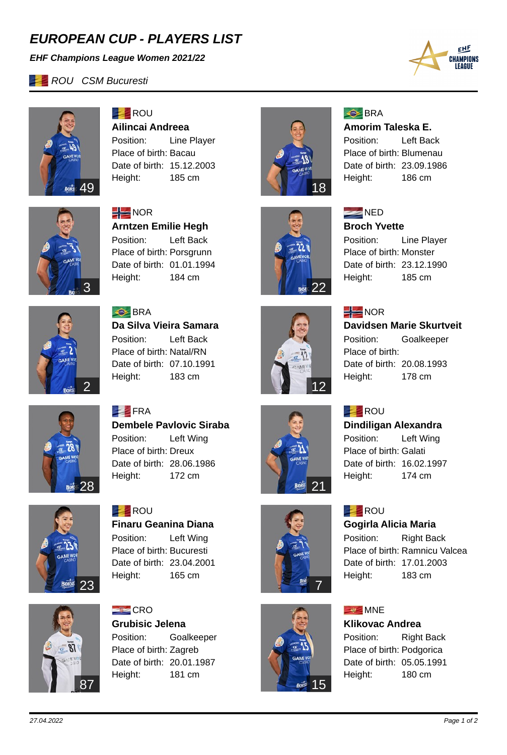# *EUROPEAN CUP - PLAYERS LIST*

*EHF Champions League Women 2021/22*

*ROU CSM Bucuresti* 





**ROU Ailincai Andreea** Position: Line Player Place of birth: Bacau Date of birth: 15.12.2003 Height: 185 cm



 $\frac{1}{2}$  NOR **Arntzen Emilie Hegh** Position: Left Back Place of birth: Porsgrunn Date of birth: 01.01.1994 Height: 184 cm



**S**BRA **Da Silva Vieira Samara** Position: Left Back Place of birth: Natal/RN Date of birth: 07.10.1991 Height: 183 cm



## **S**BRA

**Amorim Taleska E.** Position: Left Back Place of birth: Blumenau Date of birth: 23.09.1986

Height: 186 cm



**NED Broch Yvette**

Position: Line Player Place of birth: Monster Date of birth: 23.12.1990 Height: 185 cm



21

 $\overline{\text{BOR}}$ 

 $\frac{1}{2}$ NOR

#### **Davidsen Marie Skurtveit**

Position: Goalkeeper Place of birth: Date of birth: 20.08.1993 Height: 178 cm

## **ROU**

### **Dindiligan Alexandra**

Position: Left Wing Place of birth: Galati Date of birth: 16.02.1997 Height: 174 cm

# **EXAMPLE** ROU

#### **Gogirla Alicia Maria**

Position: Right Back Place of birth: Ramnicu Valcea Date of birth: 17.01.2003 Height: 183 cm

## **MNE**

**Klikovac Andrea**

Position: Right Back Place of birth: Podgorica Date of birth: 05.05.1991 Height: 180 cm



28

 $\vec{B}$ 

**FRA Dembele Pavlovic Siraba** Position: Left Wing Place of birth: Dreux Date of birth: 28.06.1986 Height: 172 cm



**ROU Finaru Geanina Diana** Position: Left Wing Place of birth: Bucuresti Date of birth: 23.04.2001 Height: 165 cm



 $E$ CRO **Grubisic Jelena** Position: Goalkeeper Place of birth: Zagreb Date of birth: 20.01.1987 Height: 181 cm